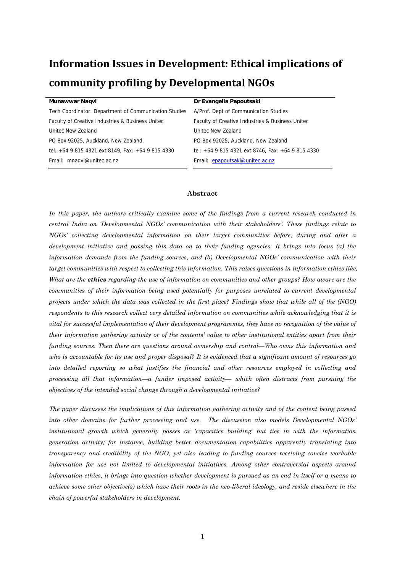# **Information Issues in Development: Ethical implications of**

# **community profiling by Developmental NGOs**

| Munawwar Nagvi                                        | Dr Evangelia Papoutsaki                           |
|-------------------------------------------------------|---------------------------------------------------|
| Tech Coordinator. Department of Communication Studies | A/Prof. Dept of Communication Studies             |
| Faculty of Creative Industries & Business United      | Faculty of Creative Industries & Business United  |
| Unitec New Zealand                                    | Unitec New Zealand                                |
| PO Box 92025, Auckland, New Zealand.                  | PO Box 92025, Auckland, New Zealand.              |
| tel: +64 9 815 4321 ext 8149, Fax: +64 9 815 4330     | tel: +64 9 815 4321 ext 8746, Fax: +64 9 815 4330 |
| Email: mnaqvi@unitec.ac.nz                            | Email: epapoutsaki@unitec.ac.nz                   |
|                                                       |                                                   |

### **Abstract**

In this paper, the authors critically examine some of the findings from a current research conducted in *central India on 'Developmental NGOs' communication with their stakeholders'. These findings relate to NGOs' collecting developmental information on their target communities before, during and after a development initiative and passing this data on to their funding agencies. It brings into focus (a) the information demands from the funding sources, and (b) Developmental NGOs' communication with their target communities with respect to collecting this information. This raises questions in information ethics like, What are the ethics regarding the use of information on communities and other groups? How aware are the communities of their information being used potentially for purposes unrelated to current developmental projects under which the data was collected in the first place? Findings show that while all of the (NGO) respondents to this research collect very detailed information on communities while acknowledging that it is vital for successful implementation of their development programmes, they have no recognition of the value of their information gathering activity or of the contents' value to other institutional entities apart from their funding sources. Then there are questions around ownership and control—Who owns this information and who is accountable for its use and proper disposal? It is evidenced that a significant amount of resources go into detailed reporting so what justifies the financial and other resources employed in collecting and processing all that information—a funder imposed activity— which often distracts from pursuing the objectives of the intended social change through a developmental initiative?* 

*The paper discusses the implications of this information gathering activity and of the content being passed into other domains for further processing and use. The discussion also models Developmental NGOs' institutional growth which generally passes as 'capacities building' but ties in with the information generation activity; for instance, building better documentation capabilities apparently translating into transparency and credibility of the NGO, yet also leading to funding sources receiving concise workable information for use not limited to developmental initiatives. Among other controversial aspects around information ethics, it brings into question whether development is pursued as an end in itself or a means to achieve some other objective(s) which have their roots in the neo-liberal ideology, and reside elsewhere in the chain of powerful stakeholders in development.*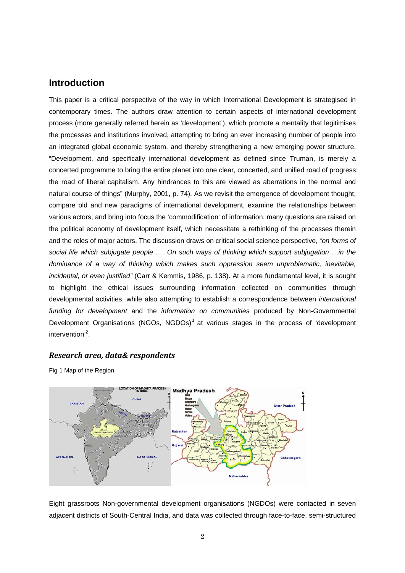## **Introduction**

This paper is a critical perspective of the way in which International Development is strategised in contemporary times. The authors draw attention to certain aspects of international development process (more generally referred herein as 'development'), which promote a mentality that legitimises the processes and institutions involved, attempting to bring an ever increasing number of people into an integrated global economic system, and thereby strengthening a new emerging power structure. "Development, and specifically international development as defined since Truman, is merely a concerted programme to bring the entire planet into one clear, concerted, and unified road of progress: the road of liberal capitalism. Any hindrances to this are viewed as aberrations in the normal and natural course of things" (Murphy, 2001, p. 74). As we revisit the emergence of development thought, compare old and new paradigms of international development, examine the relationships between various actors, and bring into focus the 'commodification' of information, many questions are raised on the political economy of development itself, which necessitate a rethinking of the processes therein and the roles of major actors. The discussion draws on critical social science perspective, "*on forms of*  social life which subjugate people .... On such ways of thinking which support subjugation ... in the *dominance of a way of thinking which makes such oppression seem unproblematic, inevitable, incidental, or even justified"* (Carr & Kemmis, 1986, p. 138). At a more fundamental level, it is sought to highlight the ethical issues surrounding information collected on communities through developmental activities, while also attempting to establish a correspondence between *international funding for development* and the *information on communities* produced by Non-Governmental Development Organisations (NGOs, NGDOs)<sup>1</sup> at various stages in the process of 'development intervention<sup>'2</sup>.

### *Research area, data& respondents*

Fig 1 Map of the Region



Eight grassroots Non-governmental development organisations (NGDOs) were contacted in seven adjacent districts of South-Central India, and data was collected through face-to-face, semi-structured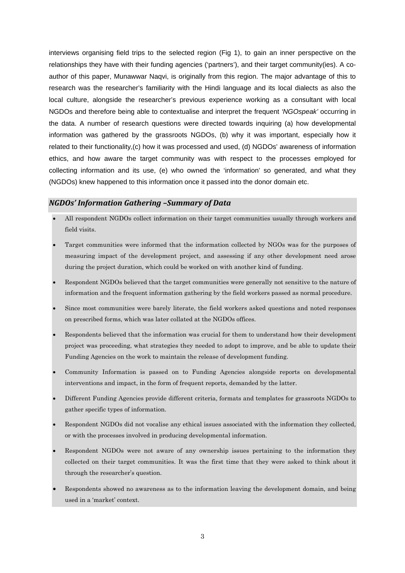interviews organising field trips to the selected region (Fig 1), to gain an inner perspective on the relationships they have with their funding agencies ('partners'), and their target community(ies). A coauthor of this paper, Munawwar Naqvi, is originally from this region. The major advantage of this to research was the researcher's familiarity with the Hindi language and its local dialects as also the local culture, alongside the researcher's previous experience working as a consultant with local NGDOs and therefore being able to contextualise and interpret the frequent *'NGOspeak'* occurring in the data. A number of research questions were directed towards inquiring (a) how developmental information was gathered by the grassroots NGDOs, (b) why it was important, especially how it related to their functionality,(c) how it was processed and used, (d) NGDOs' awareness of information ethics, and how aware the target community was with respect to the processes employed for collecting information and its use, (e) who owned the 'information' so generated, and what they (NGDOs) knew happened to this information once it passed into the donor domain etc.

### *NGDOs' Information Gathering –Summary of Data*

- All respondent NGDOs collect information on their target communities usually through workers and field visits.
- Target communities were informed that the information collected by NGOs was for the purposes of measuring impact of the development project, and assessing if any other development need arose during the project duration, which could be worked on with another kind of funding.
- Respondent NGDOs believed that the target communities were generally not sensitive to the nature of information and the frequent information gathering by the field workers passed as normal procedure.
- Since most communities were barely literate, the field workers asked questions and noted responses on prescribed forms, which was later collated at the NGDOs offices.
- Respondents believed that the information was crucial for them to understand how their development project was proceeding, what strategies they needed to adopt to improve, and be able to update their Funding Agencies on the work to maintain the release of development funding.
- Community Information is passed on to Funding Agencies alongside reports on developmental interventions and impact, in the form of frequent reports, demanded by the latter.
- Different Funding Agencies provide different criteria, formats and templates for grassroots NGDOs to gather specific types of information.
- Respondent NGDOs did not vocalise any ethical issues associated with the information they collected, or with the processes involved in producing developmental information.
- Respondent NGDOs were not aware of any ownership issues pertaining to the information they collected on their target communities. It was the first time that they were asked to think about it through the researcher's question.
- Respondents showed no awareness as to the information leaving the development domain, and being used in a 'market' context.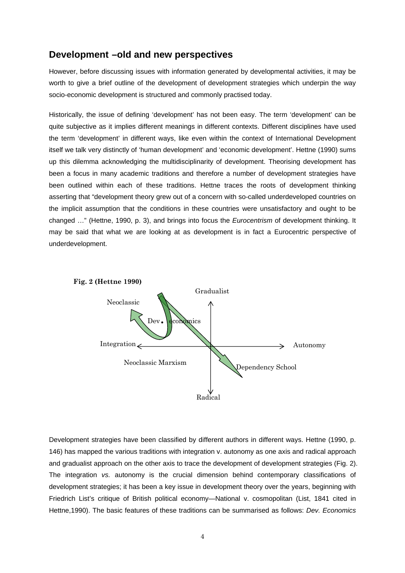## **Development –old and new perspectives**

However, before discussing issues with information generated by developmental activities, it may be worth to give a brief outline of the development of development strategies which underpin the way socio-economic development is structured and commonly practised today.

Historically, the issue of defining 'development' has not been easy. The term 'development' can be quite subjective as it implies different meanings in different contexts. Different disciplines have used the term 'development' in different ways, like even within the context of International Development itself we talk very distinctly of 'human development' and 'economic development'. Hettne (1990) sums up this dilemma acknowledging the multidisciplinarity of development. Theorising development has been a focus in many academic traditions and therefore a number of development strategies have been outlined within each of these traditions. Hettne traces the roots of development thinking asserting that "development theory grew out of a concern with so-called underdeveloped countries on the implicit assumption that the conditions in these countries were unsatisfactory and ought to be changed …" (Hettne, 1990, p. 3), and brings into focus the *Eurocentrism* of development thinking. It may be said that what we are looking at as development is in fact a Eurocentric perspective of underdevelopment.



Development strategies have been classified by different authors in different ways. Hettne (1990, p. 146) has mapped the various traditions with integration v. autonomy as one axis and radical approach and gradualist approach on the other axis to trace the development of development strategies (Fig. 2). The integration *vs.* autonomy is the crucial dimension behind contemporary classifications of development strategies; it has been a key issue in development theory over the years, beginning with Friedrich List's critique of British political economy—National v. cosmopolitan (List, 1841 cited in Hettne,1990). The basic features of these traditions can be summarised as follows: *Dev. Economics*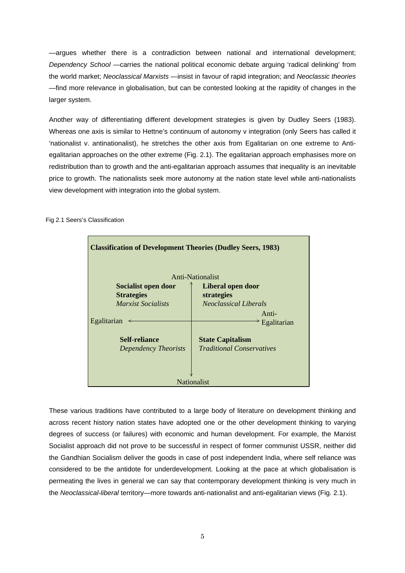—argues whether there is a contradiction between national and international development; *Dependency School* —carries the national political economic debate arguing 'radical delinking' from the world market; *Neoclassical Marxists* —insist in favour of rapid integration; and *Neoclassic theories* —find more relevance in globalisation, but can be contested looking at the rapidity of changes in the larger system.

Another way of differentiating different development strategies is given by Dudley Seers (1983). Whereas one axis is similar to Hettne's continuum of autonomy v integration (only Seers has called it 'nationalist v. antinationalist), he stretches the other axis from Egalitarian on one extreme to Antiegalitarian approaches on the other extreme (Fig. 2.1). The egalitarian approach emphasises more on redistribution than to growth and the anti-egalitarian approach assumes that inequality is an inevitable price to growth. The nationalists seek more autonomy at the nation state level while anti-nationalists view development with integration into the global system.

| <b>Classification of Development Theories (Dudley Seers, 1983)</b> |                                  |  |  |
|--------------------------------------------------------------------|----------------------------------|--|--|
|                                                                    | Anti-Nationalist                 |  |  |
| Socialist open door                                                | Liberal open door                |  |  |
| <b>Strategies</b>                                                  | strategies                       |  |  |
| <b>Marxist Socialists</b>                                          | <b>Neoclassical Liberals</b>     |  |  |
|                                                                    | Anti-                            |  |  |
| Egalitarian                                                        | Egalitarian                      |  |  |
| <b>Self-reliance</b>                                               | <b>State Capitalism</b>          |  |  |
| Dependency Theorists                                               | <i>Traditional Conservatives</i> |  |  |
|                                                                    |                                  |  |  |
| <b>Nationalist</b>                                                 |                                  |  |  |

Fig 2.1 Seers's Classification

These various traditions have contributed to a large body of literature on development thinking and across recent history nation states have adopted one or the other development thinking to varying degrees of success (or failures) with economic and human development. For example, the Marxist Socialist approach did not prove to be successful in respect of former communist USSR, neither did the Gandhian Socialism deliver the goods in case of post independent India, where self reliance was considered to be the antidote for underdevelopment. Looking at the pace at which globalisation is permeating the lives in general we can say that contemporary development thinking is very much in the *Neoclassical-liberal* territory—more towards anti-nationalist and anti-egalitarian views (Fig. 2.1).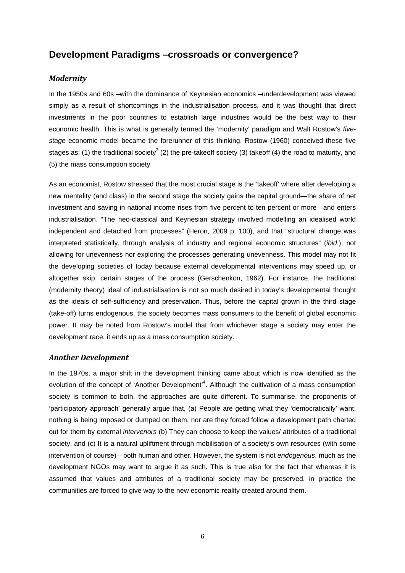# **Development Paradigms –crossroads or convergence?**

### *Modernity*

In the 1950s and 60s –with the dominance of Keynesian economics –underdevelopment was viewed simply as a result of shortcomings in the industrialisation process, and it was thought that direct investments in the poor countries to establish large industries would be the best way to their economic health. This is what is generally termed the 'modernity' paradigm and Walt Rostow's *fivestage* economic model became the forerunner of this thinking. Rostow (1960) conceived these five stages as: (1) the traditional society<sup>3</sup> (2) the pre-takeoff society (3) takeoff (4) the road to maturity, and (5) the mass consumption society

As an economist, Rostow stressed that the most crucial stage is the 'takeoff' where after developing a new mentality (and class) in the second stage the society gains the capital ground—the share of net investment and saving in national income rises from five percent to ten percent or more—and enters industrialisation. "The neo-classical and Keynesian strategy involved modelling an idealised world independent and detached from processes" (Heron, 2009 p. 100), and that "structural change was interpreted statistically, through analysis of industry and regional economic structures" (*ibid*.), not allowing for unevenness nor exploring the processes generating unevenness. This model may not fit the developing societies of today because external developmental interventions may speed up, or altogether skip, certain stages of the process (Gerschenkon, 1962). For instance, the traditional (modernity theory) ideal of industrialisation is not so much desired in today's developmental thought as the ideals of self-sufficiency and preservation. Thus, before the capital grown in the third stage (take-off) turns endogenous, the society becomes mass consumers to the benefit of global economic power. It may be noted from Rostow's model that from whichever stage a society may enter the development race, it ends up as a mass consumption society.

### *Another Development*

In the 1970s, a major shift in the development thinking came about which is now identified as the evolution of the concept of 'Another Development'<sup>4</sup>. Although the cultivation of a mass consumption society is common to both, the approaches are quite different. To summarise, the proponents of 'participatory approach' generally argue that, (a) People are getting what they 'democratically' want, nothing is being imposed or dumped on them, nor are they forced follow a development path charted out for them by external *intervenors* (b) They can choose to keep the values/ attributes of a traditional society, and (c) It is a natural upliftment through mobilisation of a society's own resources (with some intervention of course)—both human and other. However, the system is not *endogenous*, much as the development NGOs may want to argue it as such. This is true also for the fact that whereas it is assumed that values and attributes of a traditional society may be preserved, in practice the communities are forced to give way to the new economic reality created around them.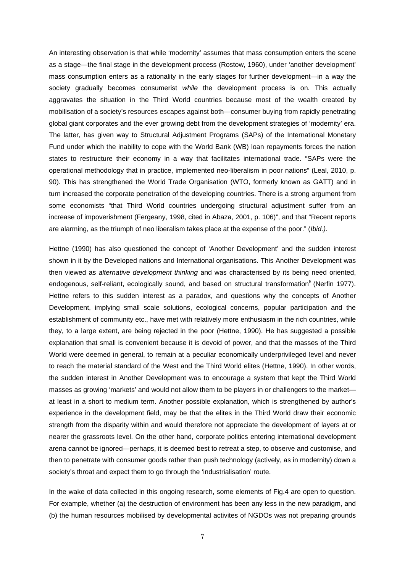An interesting observation is that while 'modernity' assumes that mass consumption enters the scene as a stage—the final stage in the development process (Rostow, 1960), under 'another development' mass consumption enters as a rationality in the early stages for further development—in a way the society gradually becomes consumerist *while* the development process is on. This actually aggravates the situation in the Third World countries because most of the wealth created by mobilisation of a society's resources escapes against both—consumer buying from rapidly penetrating global giant corporates and the ever growing debt from the development strategies of 'modernity' era. The latter, has given way to Structural Adjustment Programs (SAPs) of the International Monetary Fund under which the inability to cope with the World Bank (WB) loan repayments forces the nation states to restructure their economy in a way that facilitates international trade. "SAPs were the operational methodology that in practice, implemented neo-liberalism in poor nations" (Leal, 2010, p. 90). This has strengthened the World Trade Organisation (WTO, formerly known as GATT) and in turn increased the corporate penetration of the developing countries. There is a strong argument from some economists "that Third World countries undergoing structural adjustment suffer from an increase of impoverishment (Fergeany, 1998, cited in Abaza, 2001, p. 106)", and that "Recent reports are alarming, as the triumph of neo liberalism takes place at the expense of the poor." (*Ibid.).* 

Hettne (1990) has also questioned the concept of 'Another Development' and the sudden interest shown in it by the Developed nations and International organisations. This Another Development was then viewed as *alternative development thinking* and was characterised by its being need oriented, endogenous, self-reliant, ecologically sound, and based on structural transformation<sup>5</sup> (Nerfin 1977). Hettne refers to this sudden interest as a paradox, and questions why the concepts of Another Development, implying small scale solutions, ecological concerns, popular participation and the establishment of community etc., have met with relatively more enthusiasm in the rich countries, while they, to a large extent, are being rejected in the poor (Hettne, 1990). He has suggested a possible explanation that small is convenient because it is devoid of power, and that the masses of the Third World were deemed in general, to remain at a peculiar economically underprivileged level and never to reach the material standard of the West and the Third World elites (Hettne, 1990). In other words, the sudden interest in Another Development was to encourage a system that kept the Third World masses as growing 'markets' and would not allow them to be players in or challengers to the market at least in a short to medium term. Another possible explanation, which is strengthened by author's experience in the development field, may be that the elites in the Third World draw their economic strength from the disparity within and would therefore not appreciate the development of layers at or nearer the grassroots level. On the other hand, corporate politics entering international development arena cannot be ignored—perhaps, it is deemed best to retreat a step, to observe and customise, and then to penetrate with consumer goods rather than push technology (actively, as in modernity) down a society's throat and expect them to go through the 'industrialisation' route.

In the wake of data collected in this ongoing research, some elements of Fig.4 are open to question. For example, whether (a) the destruction of environment has been any less in the new paradigm, and (b) the human resources mobilised by developmental activites of NGDOs was not preparing grounds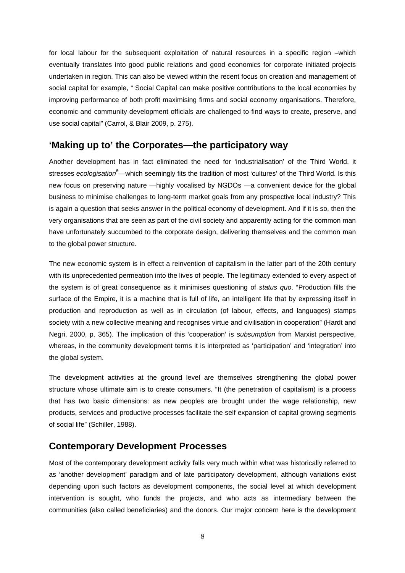for local labour for the subsequent exploitation of natural resources in a specific region –which eventually translates into good public relations and good economics for corporate initiated projects undertaken in region. This can also be viewed within the recent focus on creation and management of social capital for example, " Social Capital can make positive contributions to the local economies by improving performance of both profit maximising firms and social economy organisations. Therefore, economic and community development officials are challenged to find ways to create, preserve, and use social capital" (Carrol, & Blair 2009, p. 275).

## **'Making up to' the Corporates—the participatory way**

Another development has in fact eliminated the need for 'industrialisation' of the Third World, it stresses *ecologisation*<sup>6</sup>—which seemingly fits the tradition of most 'cultures' of the Third World. Is this new focus on preserving nature —highly vocalised by NGDOs —a convenient device for the global business to minimise challenges to long-term market goals from any prospective local industry? This is again a question that seeks answer in the political economy of development. And if it is so, then the very organisations that are seen as part of the civil society and apparently acting for the common man have unfortunately succumbed to the corporate design, delivering themselves and the common man to the global power structure.

The new economic system is in effect a reinvention of capitalism in the latter part of the 20th century with its unprecedented permeation into the lives of people. The legitimacy extended to every aspect of the system is of great consequence as it minimises questioning of *status quo*. "Production fills the surface of the Empire, it is a machine that is full of life, an intelligent life that by expressing itself in production and reproduction as well as in circulation (of labour, effects, and languages) stamps society with a new collective meaning and recognises virtue and civilisation in cooperation" (Hardt and Negri, 2000, p. 365). The implication of this 'cooperation' is *subsumption* from Marxist perspective, whereas, in the community development terms it is interpreted as 'participation' and 'integration' into the global system.

The development activities at the ground level are themselves strengthening the global power structure whose ultimate aim is to create consumers. "It (the penetration of capitalism) is a process that has two basic dimensions: as new peoples are brought under the wage relationship, new products, services and productive processes facilitate the self expansion of capital growing segments of social life" (Schiller, 1988).

## **Contemporary Development Processes**

Most of the contemporary development activity falls very much within what was historically referred to as 'another development' paradigm and of late participatory development, although variations exist depending upon such factors as development components, the social level at which development intervention is sought, who funds the projects, and who acts as intermediary between the communities (also called beneficiaries) and the donors. Our major concern here is the development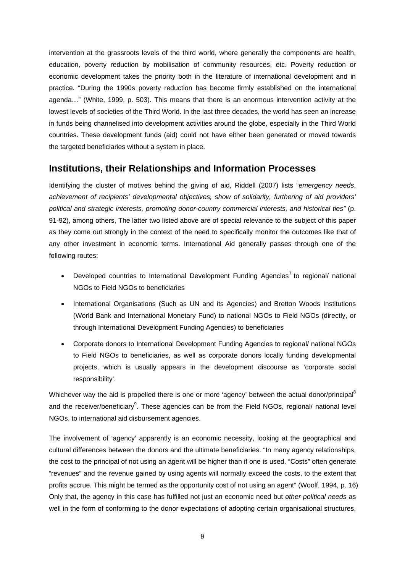intervention at the grassroots levels of the third world, where generally the components are health, education, poverty reduction by mobilisation of community resources, etc. Poverty reduction or economic development takes the priority both in the literature of international development and in practice. "During the 1990s poverty reduction has become firmly established on the international agenda…" (White, 1999, p. 503). This means that there is an enormous intervention activity at the lowest levels of societies of the Third World. In the last three decades, the world has seen an increase in funds being channelised into development activities around the globe, especially in the Third World countries. These development funds (aid) could not have either been generated or moved towards the targeted beneficiaries without a system in place.

# **Institutions, their Relationships and Information Processes**

Identifying the cluster of motives behind the giving of aid, Riddell (2007) lists "*emergency needs*, *achievement of recipients' developmental objectives, show of solidarity, furthering of aid providers' political and strategic interests, promoting donor-country commercial interests, and historical ties"* (p. 91-92), among others, The latter two listed above are of special relevance to the subject of this paper as they come out strongly in the context of the need to specifically monitor the outcomes like that of any other investment in economic terms. International Aid generally passes through one of the following routes:

- Developed countries to International Development Funding Agencies<sup>7</sup> to regional/ national NGOs to Field NGOs to beneficiaries
- International Organisations (Such as UN and its Agencies) and Bretton Woods Institutions (World Bank and International Monetary Fund) to national NGOs to Field NGOs (directly, or through International Development Funding Agencies) to beneficiaries
- Corporate donors to International Development Funding Agencies to regional/ national NGOs to Field NGOs to beneficiaries, as well as corporate donors locally funding developmental projects, which is usually appears in the development discourse as 'corporate social responsibility'.

Whichever way the aid is propelled there is one or more 'agency' between the actual donor/principal<sup>8</sup> and the receiver/beneficiary<sup>9</sup>. These agencies can be from the Field NGOs, regional/ national level NGOs, to international aid disbursement agencies.

The involvement of 'agency' apparently is an economic necessity, looking at the geographical and cultural differences between the donors and the ultimate beneficiaries. "In many agency relationships, the cost to the principal of not using an agent will be higher than if one is used. "Costs" often generate "revenues" and the revenue gained by using agents will normally exceed the costs, to the extent that profits accrue. This might be termed as the opportunity cost of not using an agent" (Woolf, 1994, p. 16) Only that, the agency in this case has fulfilled not just an economic need but *other political needs* as well in the form of conforming to the donor expectations of adopting certain organisational structures,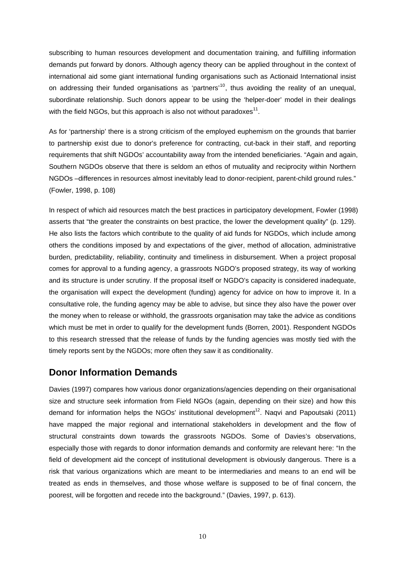subscribing to human resources development and documentation training, and fulfilling information demands put forward by donors. Although agency theory can be applied throughout in the context of international aid some giant international funding organisations such as Actionaid International insist on addressing their funded organisations as 'partners'<sup>10</sup>, thus avoiding the reality of an unequal, subordinate relationship. Such donors appear to be using the 'helper-doer' model in their dealings with the field NGOs, but this approach is also not without paradoxes $^{11}$ .

As for 'partnership' there is a strong criticism of the employed euphemism on the grounds that barrier to partnership exist due to donor's preference for contracting, cut-back in their staff, and reporting requirements that shift NGDOs' accountability away from the intended beneficiaries. "Again and again, Southern NGDOs observe that there is seldom an ethos of mutuality and reciprocity within Northern NGDOs –differences in resources almost inevitably lead to donor-recipient, parent-child ground rules." (Fowler, 1998, p. 108)

In respect of which aid resources match the best practices in participatory development, Fowler (1998) asserts that "the greater the constraints on best practice, the lower the development quality" (p. 129). He also lists the factors which contribute to the quality of aid funds for NGDOs, which include among others the conditions imposed by and expectations of the giver, method of allocation, administrative burden, predictability, reliability, continuity and timeliness in disbursement. When a project proposal comes for approval to a funding agency, a grassroots NGDO's proposed strategy, its way of working and its structure is under scrutiny. If the proposal itself or NGDO's capacity is considered inadequate, the organisation will expect the development (funding) agency for advice on how to improve it. In a consultative role, the funding agency may be able to advise, but since they also have the power over the money when to release or withhold, the grassroots organisation may take the advice as conditions which must be met in order to qualify for the development funds (Borren, 2001). Respondent NGDOs to this research stressed that the release of funds by the funding agencies was mostly tied with the timely reports sent by the NGDOs; more often they saw it as conditionality.

# **Donor Information Demands**

Davies (1997) compares how various donor organizations/agencies depending on their organisational size and structure seek information from Field NGOs (again, depending on their size) and how this demand for information helps the NGOs' institutional development<sup>12</sup>. Naqvi and Papoutsaki (2011) have mapped the major regional and international stakeholders in development and the flow of structural constraints down towards the grassroots NGDOs. Some of Davies's observations, especially those with regards to donor information demands and conformity are relevant here: "In the field of development aid the concept of institutional development is obviously dangerous. There is a risk that various organizations which are meant to be intermediaries and means to an end will be treated as ends in themselves, and those whose welfare is supposed to be of final concern, the poorest, will be forgotten and recede into the background." (Davies, 1997, p. 613).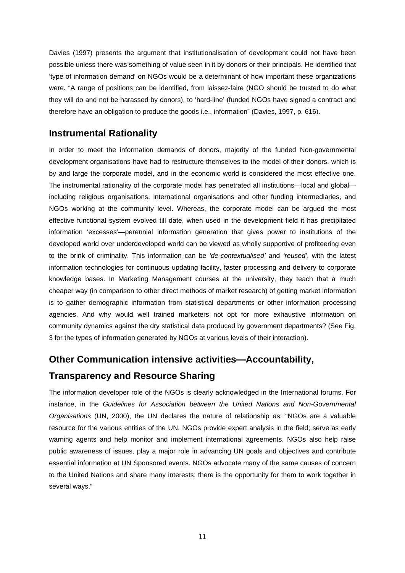Davies (1997) presents the argument that institutionalisation of development could not have been possible unless there was something of value seen in it by donors or their principals. He identified that 'type of information demand' on NGOs would be a determinant of how important these organizations were. "A range of positions can be identified, from laissez-faire (NGO should be trusted to do what they will do and not be harassed by donors), to 'hard-line' (funded NGOs have signed a contract and therefore have an obligation to produce the goods i.e., information" (Davies, 1997, p. 616).

# **Instrumental Rationality**

In order to meet the information demands of donors, majority of the funded Non-governmental development organisations have had to restructure themselves to the model of their donors, which is by and large the corporate model, and in the economic world is considered the most effective one. The instrumental rationality of the corporate model has penetrated all institutions—local and global including religious organisations, international organisations and other funding intermediaries, and NGOs working at the community level. Whereas, the corporate model can be argued the most effective functional system evolved till date, when used in the development field it has precipitated information 'excesses'—perennial information generation that gives power to institutions of the developed world over underdeveloped world can be viewed as wholly supportive of profiteering even to the brink of criminality. This information can be *'de-contextualised'* and *'reused'*, with the latest information technologies for continuous updating facility, faster processing and delivery to corporate knowledge bases. In Marketing Management courses at the university, they teach that a much cheaper way (in comparison to other direct methods of market research) of getting market information is to gather demographic information from statistical departments or other information processing agencies. And why would well trained marketers not opt for more exhaustive information on community dynamics against the dry statistical data produced by government departments? (See Fig. 3 for the types of information generated by NGOs at various levels of their interaction).

# **Other Communication intensive activities—Accountability,**

# **Transparency and Resource Sharing**

The information developer role of the NGOs is clearly acknowledged in the International forums. For instance, in the *Guidelines for Association between the United Nations and Non-Governmental Organisations* (UN, 2000), the UN declares the nature of relationship as: "NGOs are a valuable resource for the various entities of the UN. NGOs provide expert analysis in the field; serve as early warning agents and help monitor and implement international agreements. NGOs also help raise public awareness of issues, play a major role in advancing UN goals and objectives and contribute essential information at UN Sponsored events. NGOs advocate many of the same causes of concern to the United Nations and share many interests; there is the opportunity for them to work together in several ways."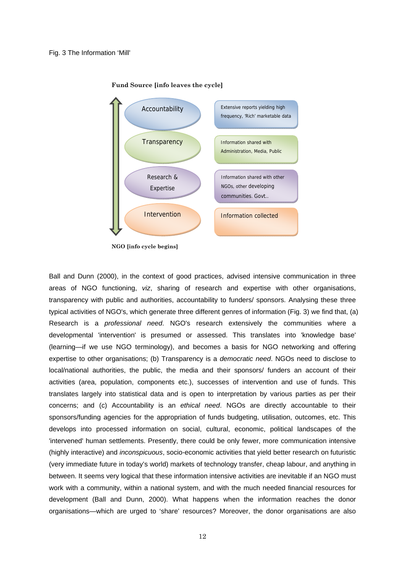



**NGO [info cycle begins]**

Ball and Dunn (2000), in the context of good practices, advised intensive communication in three areas of NGO functioning, *viz*, sharing of research and expertise with other organisations, transparency with public and authorities, accountability to funders/ sponsors. Analysing these three typical activities of NGO's, which generate three different genres of information (Fig. 3) we find that, (a) Research is a *professional need*. NGO's research extensively the communities where a developmental 'intervention' is presumed or assessed. This translates into 'knowledge base' (learning—if we use NGO terminology), and becomes a basis for NGO networking and offering expertise to other organisations; (b) Transparency is a *democratic need*. NGOs need to disclose to local/national authorities, the public, the media and their sponsors/ funders an account of their activities (area, population, components etc.), successes of intervention and use of funds. This translates largely into statistical data and is open to interpretation by various parties as per their concerns; and (c) Accountability is an *ethical need*. NGOs are directly accountable to their sponsors/funding agencies for the appropriation of funds budgeting, utilisation, outcomes, etc. This develops into processed information on social, cultural, economic, political landscapes of the 'intervened' human settlements. Presently, there could be only fewer, more communication intensive (highly interactive) and *inconspicuous*, socio-economic activities that yield better research on futuristic (very immediate future in today's world) markets of technology transfer, cheap labour, and anything in between. It seems very logical that these information intensive activities are inevitable if an NGO must work with a community, within a national system, and with the much needed financial resources for development (Ball and Dunn, 2000). What happens when the information reaches the donor organisations—which are urged to 'share' resources? Moreover, the donor organisations are also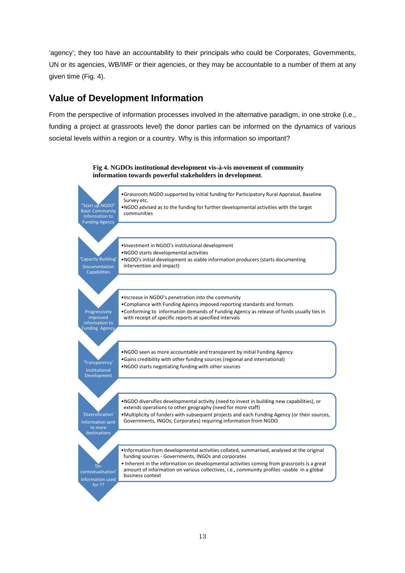'agency'; they too have an accountability to their principals who could be Corporates, Governments, UN or its agencies, WB/IMF or their agencies, or they may be accountable to a number of them at any given time (Fig. 4).

# **Value of Development Information**

From the perspective of information processes involved in the alternative paradigm, in one stroke (i.e., funding a project at grassroots level) the donor parties can be informed on the dynamics of various societal levels within a region or a country. Why is this information so important?

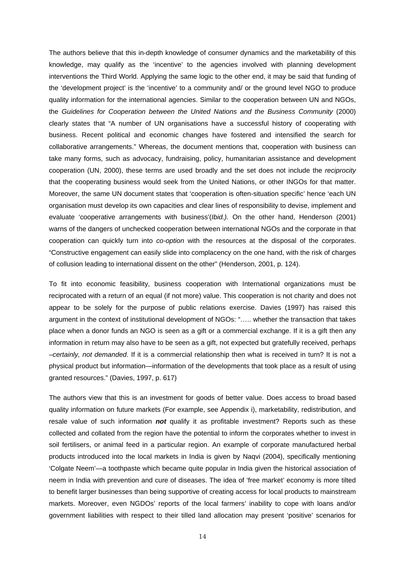The authors believe that this in-depth knowledge of consumer dynamics and the marketability of this knowledge, may qualify as the 'incentive' to the agencies involved with planning development interventions the Third World. Applying the same logic to the other end, it may be said that funding of the 'development project' is the 'incentive' to a community and/ or the ground level NGO to produce quality information for the international agencies. Similar to the cooperation between UN and NGOs, the *Guidelines for Cooperation between the United Nations and the Business Community* (2000) clearly states that "A number of UN organisations have a successful history of cooperating with business. Recent political and economic changes have fostered and intensified the search for collaborative arrangements." Whereas, the document mentions that, cooperation with business can take many forms, such as advocacy, fundraising, policy, humanitarian assistance and development cooperation (UN, 2000), these terms are used broadly and the set does not include the *reciprocity* that the cooperating business would seek from the United Nations, or other INGOs for that matter. Moreover, the same UN document states that 'cooperation is often-situation specific' hence 'each UN organisation must develop its own capacities and clear lines of responsibility to devise, implement and evaluate 'cooperative arrangements with business'(*Ibid.).* On the other hand, Henderson (2001) warns of the dangers of unchecked cooperation between international NGOs and the corporate in that cooperation can quickly turn into *co-option* with the resources at the disposal of the corporates. "Constructive engagement can easily slide into complacency on the one hand, with the risk of charges of collusion leading to international dissent on the other" (Henderson, 2001, p. 124).

To fit into economic feasibility, business cooperation with International organizations must be reciprocated with a return of an equal (if not more) value. This cooperation is not charity and does not appear to be solely for the purpose of public relations exercise. Davies (1997) has raised this argument in the context of institutional development of NGOs: "….. whether the transaction that takes place when a donor funds an NGO is seen as a gift or a commercial exchange. If it is a gift then any information in return may also have to be seen as a gift, not expected but gratefully received, perhaps –*certainly, not demanded*. If it is a commercial relationship then what is received in turn? It is not a physical product but information—information of the developments that took place as a result of using granted resources." (Davies, 1997, p. 617)

The authors view that this is an investment for goods of better value. Does access to broad based quality information on future markets (For example, see Appendix i), marketability, redistribution, and resale value of such information *not* qualify it as profitable investment? Reports such as these collected and collated from the region have the potential to inform the corporates whether to invest in soil fertilisers, or animal feed in a particular region. An example of corporate manufactured herbal products introduced into the local markets in India is given by Naqvi (2004), specifically mentioning 'Colgate Neem'—a toothpaste which became quite popular in India given the historical association of neem in India with prevention and cure of diseases. The idea of 'free market' economy is more tilted to benefit larger businesses than being supportive of creating access for local products to mainstream markets. Moreover, even NGDOs' reports of the local farmers' inability to cope with loans and/or government liabilities with respect to their tilled land allocation may present 'positive' scenarios for

14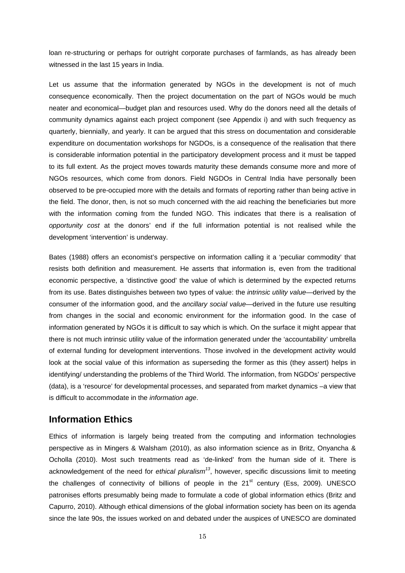loan re-structuring or perhaps for outright corporate purchases of farmlands, as has already been witnessed in the last 15 years in India.

Let us assume that the information generated by NGOs in the development is not of much consequence economically. Then the project documentation on the part of NGOs would be much neater and economical—budget plan and resources used. Why do the donors need all the details of community dynamics against each project component (see Appendix i) and with such frequency as quarterly, biennially, and yearly. It can be argued that this stress on documentation and considerable expenditure on documentation workshops for NGDOs, is a consequence of the realisation that there is considerable information potential in the participatory development process and it must be tapped to its full extent. As the project moves towards maturity these demands consume more and more of NGOs resources, which come from donors. Field NGDOs in Central India have personally been observed to be pre-occupied more with the details and formats of reporting rather than being active in the field. The donor, then, is not so much concerned with the aid reaching the beneficiaries but more with the information coming from the funded NGO. This indicates that there is a realisation of *opportunity cost* at the donors' end if the full information potential is not realised while the development 'intervention' is underway.

Bates (1988) offers an economist's perspective on information calling it a 'peculiar commodity' that resists both definition and measurement. He asserts that information is, even from the traditional economic perspective, a 'distinctive good' the value of which is determined by the expected returns from its use. Bates distinguishes between two types of value: the *intrinsic utility value*—derived by the consumer of the information good, and the *ancillary social value*—derived in the future use resulting from changes in the social and economic environment for the information good. In the case of information generated by NGOs it is difficult to say which is which. On the surface it might appear that there is not much intrinsic utility value of the information generated under the 'accountability' umbrella of external funding for development interventions. Those involved in the development activity would look at the social value of this information as superseding the former as this (they assert) helps in identifying/ understanding the problems of the Third World. The information, from NGDOs' perspective (data), is a 'resource' for developmental processes, and separated from market dynamics –a view that is difficult to accommodate in the *information age*.

## **Information Ethics**

Ethics of information is largely being treated from the computing and information technologies perspective as in Mingers & Walsham (2010), as also information science as in Britz, Onyancha & Ocholla (2010). Most such treatments read as 'de-linked' from the human side of it. There is acknowledgement of the need for *ethical pluralism*<sup>13</sup>, however, specific discussions limit to meeting the challenges of connectivity of billions of people in the  $21<sup>st</sup>$  century (Ess, 2009). UNESCO patronises efforts presumably being made to formulate a code of global information ethics (Britz and Capurro, 2010). Although ethical dimensions of the global information society has been on its agenda since the late 90s, the issues worked on and debated under the auspices of UNESCO are dominated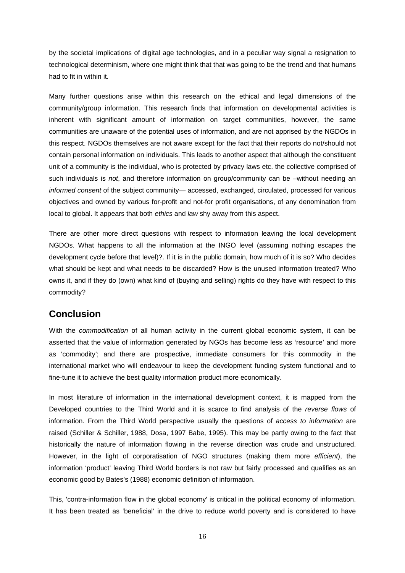by the societal implications of digital age technologies, and in a peculiar way signal a resignation to technological determinism, where one might think that that was going to be the trend and that humans had to fit in within it.

Many further questions arise within this research on the ethical and legal dimensions of the community/group information. This research finds that information on developmental activities is inherent with significant amount of information on target communities, however, the same communities are unaware of the potential uses of information, and are not apprised by the NGDOs in this respect. NGDOs themselves are not aware except for the fact that their reports do not/should not contain personal information on individuals. This leads to another aspect that although the constituent unit of a community is the individual, who is protected by privacy laws etc. the collective comprised of such individuals is *not*, and therefore information on group/community can be –without needing an *informed consent* of the subject community— accessed, exchanged, circulated, processed for various objectives and owned by various for-profit and not-for profit organisations, of any denomination from local to global. It appears that both *ethics* and *law* shy away from this aspect.

There are other more direct questions with respect to information leaving the local development NGDOs. What happens to all the information at the INGO level (assuming nothing escapes the development cycle before that level)?. If it is in the public domain, how much of it is so? Who decides what should be kept and what needs to be discarded? How is the unused information treated? Who owns it, and if they do (own) what kind of (buying and selling) rights do they have with respect to this commodity?

# **Conclusion**

With the *commodification* of all human activity in the current global economic system, it can be asserted that the value of information generated by NGOs has become less as 'resource' and more as 'commodity'; and there are prospective, immediate consumers for this commodity in the international market who will endeavour to keep the development funding system functional and to fine-tune it to achieve the best quality information product more economically.

In most literature of information in the international development context, it is mapped from the Developed countries to the Third World and it is scarce to find analysis of the *reverse flows* of information. From the Third World perspective usually the questions of *access to information* are raised (Schiller & Schiller, 1988, Dosa, 1997 Babe, 1995). This may be partly owing to the fact that historically the nature of information flowing in the reverse direction was crude and unstructured. However, in the light of corporatisation of NGO structures (making them more *efficient*), the information 'product' leaving Third World borders is not raw but fairly processed and qualifies as an economic good by Bates's (1988) economic definition of information.

This, 'contra-information flow in the global economy' is critical in the political economy of information. It has been treated as 'beneficial' in the drive to reduce world poverty and is considered to have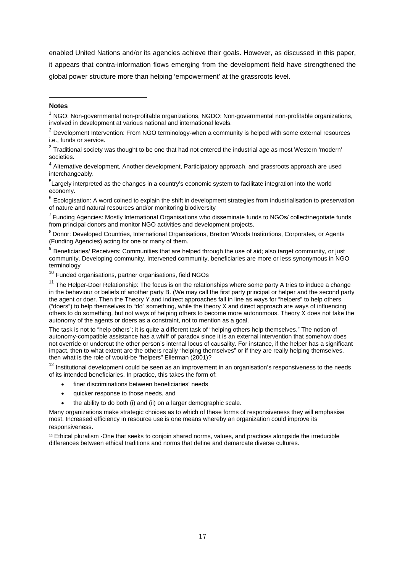enabled United Nations and/or its agencies achieve their goals. However, as discussed in this paper, it appears that contra-information flows emerging from the development field have strengthened the global power structure more than helping 'empowerment' at the grassroots level.

### **Notes**

-

<sup>4</sup> Alternative development, Another development, Participatory approach, and grassroots approach are used interchangeably.

<sup>5</sup>Largely interpreted as the changes in a country's economic system to facilitate integration into the world economy.

 $6$  Ecologisation: A word coined to explain the shift in development strategies from industrialisation to preservation of nature and natural resources and/or monitoring biodiversity

<sup>7</sup> Funding Agencies: Mostly International Organisations who disseminate funds to NGOs/ collect/negotiate funds from principal donors and monitor NGO activities and development projects.

8 Donor: Developed Countries, International Organisations, Bretton Woods Institutions, Corporates, or Agents (Funding Agencies) acting for one or many of them.

<sup>9</sup> Beneficiaries/ Receivers: Communities that are helped through the use of aid; also target community, or just community. Developing community, Intervened community, beneficiaries are more or less synonymous in NGO terminology

<sup>10</sup> Funded organisations, partner organisations, field NGOs

 $11$  The Helper-Doer Relationship: The focus is on the relationships where some party A tries to induce a change in the behaviour or beliefs of another party B. (We may call the first party principal or helper and the second party the agent or doer. Then the Theory Y and indirect approaches fall in line as ways for "helpers" to help others ("doers") to help themselves to "do" something, while the theory X and direct approach are ways of influencing others to do something, but not ways of helping others to become more autonomous. Theory X does not take the autonomy of the agents or doers as a constraint, not to mention as a goal.

The task is not to "help others"; it is quite a different task of "helping others help themselves." The notion of autonomy-compatible assistance has a whiff of paradox since it is an external intervention that somehow does not override or undercut the other person's internal locus of causality. For instance, if the helper has a significant impact, then to what extent are the others really "helping themselves" or if they are really helping themselves, then what is the role of would-be "helpers" Ellerman (2001)?

 $12$  Institutional development could be seen as an improvement in an organisation's responsiveness to the needs of its intended beneficiaries. In practice, this takes the form of:

- finer discriminations between beneficiaries' needs
- quicker response to those needs, and
- the ability to do both (i) and (ii) on a larger demographic scale.

Many organizations make strategic choices as to which of these forms of responsiveness they will emphasise most. Increased efficiency in resource use is one means whereby an organization could improve its responsiveness.

<sup>13</sup> Ethical pluralism -One that seeks to conjoin shared norms, values, and practices alongside the irreducible differences between ethical traditions and norms that define and demarcate diverse cultures.

 $1$  NGO: Non-governmental non-profitable organizations, NGDO: Non-governmental non-profitable organizations, involved in development at various national and international levels.

 $2$  Development Intervention: From NGO terminology-when a community is helped with some external resources i.e., funds or service.

 $3$  Traditional society was thought to be one that had not entered the industrial age as most Western 'modern' societies.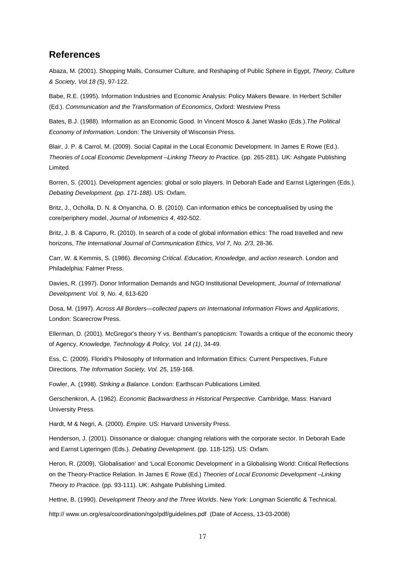## **References**

Abaza, M. (2001). Shopping Malls, Consumer Culture, and Reshaping of Public Sphere in Egypt, *Theory, Culture & Society, Vol.18 (5)*, 97-122.

Babe, R.E. (1995). Information Industries and Economic Analysis: Policy Makers Beware. In Herbert Schiller (Ed.). *Communication and the Transformation of Economics*, Oxford: Westview Press

Bates, B.J. (1988). Information as an Economic Good. In Vincent Mosco & Janet Wasko (Eds.).*The Political Economy of Information.* London: The University of Wisconsin Press.

Blair, J. P. & Carrol, M. (2009). Social Capital in the Local Economic Development. In James E Rowe (Ed.). *Theories of Local Economic Development –Linking Theory to Practice*. (pp. 265-281). UK: Ashgate Publishing Limited.

Borren, S. (2001). Development agencies: global or solo players. In Deborah Eade and Earnst Ligteringen (Eds.). *Debating Development. (pp. 171-188).* US*:* Oxfam.

Britz, J., Ocholla, D. N. & Onyancha, O. B. (2010). Can information ethics be conceptualised by using the core/periphery model, *Journal of Infometrics 4*, 492-502.

Britz, J. B. & Capurro, R. (2010). In search of a code of global information ethics: The road travelled and new horizons, *The International Journal of Communication Ethics, Vol 7, No. 2/3*, 28-36.

Carr, W. & Kemmis, S. (1986). *Becoming Critical. Education, Knowledge, and action research*. London and Philadelphia: Falmer Press.

Davies, R. (1997). Donor Information Demands and NGO Institutional Development, *Journal of International Development: Vol. 9, No. 4*, 613-620

Dosa, M. (1997). *Across All Borders—collected papers on International Information Flows and Applications*, London: Scarecrow Press.

Ellerman, D. (2001). McGregor's theory Y vs. Bentham's panopticism: Towards a critique of the economic theory of Agency, *Knowledge, Technology & Policy, Vol. 14 (1)*, 34-49.

Ess, C. (2009). Floridi's Philosophy of Information and Information Ethics: Current Perspectives, Future Directions, *The Information Society, Vol. 25*, 159-168.

Fowler, A. (1998). *Striking a Balance*. London: Earthscan Publications Limited.

Gerschenkron, A. (1962). *Economic Backwardness in Historical Perspective*. Cambridge, Mass: Harvard University Press.

Hardt, M & Negri, A. (2000). *Empire*. US: Harvard University Press.

Henderson, J. (2001). Dissonance or dialogue: changing relations with the corporate sector. In Deborah Eade and Earnst Ligteringen (Eds.). *Debating Development*. (pp. 118-125). US: Oxfam.

Heron, R. (2009), 'Globalisation' and 'Local Economic Development' in a Globalising World: Critical Reflections on the Theory-Practice Relation. In James E Rowe (Ed.) *Theories of Local Economic Development –Linking Theory to Practice*. (pp. 93-111). UK: Ashgate Publishing Limited.

Hettne, B. (1990). *Development Theory and the Three Worlds*. New York: Longman Scientific & Technical.

http:// www.un.org/esa/coordination/ngo/pdf/guidelines.pdf (Date of Access, 13-03-2008)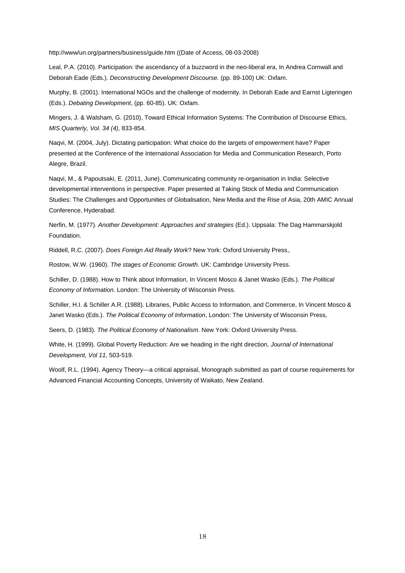http://www/un.org/partners/business/guide.htm ((Date of Access, 08-03-2008)

Leal, P.A. (2010). Participation: the ascendancy of a buzzword in the neo-liberal era, In Andrea Cornwall and Deborah Eade (Eds.). *Deconstructing Development Discourse.* (pp. 89-100) UK: Oxfam.

Murphy, B. (2001). International NGOs and the challenge of modernity. In Deborah Eade and Earnst Ligteringen (Eds.). *Debating Development*, (pp. 60-85). UK: Oxfam.

Mingers, J. & Walsham, G. (2010), Toward Ethical Information Systems: The Contribution of Discourse Ethics, *MIS Quarterly, Vol. 34 (4)*, 833-854.

Naqvi, M. (2004, July). Dictating participation: What choice do the targets of empowerment have? Paper presented at the Conference of the International Association for Media and Communication Research, Porto Alegre, Brazil.

Naqvi, M., & Papoutsaki, E. (2011, June). Communicating community re-organisation in India: Selective developmental interventions in perspective. Paper presented at Taking Stock of Media and Communication Studies: The Challenges and Opportunities of Globalisation, New Media and the Rise of Asia, 20th AMIC Annual Conference, Hyderabad.

Nerfin, M. (1977). *Another Development: Approaches and strategies* (Ed.). Uppsala: The Dag Hammarskjold Foundation.

Riddell, R.C. (2007). *Does Foreign Aid Really Work*? New York: Oxford University Press,.

Rostow, W.W. (1960). *The stages of Economic Growth*. UK: Cambridge University Press.

Schiller, D. (1988). How to Think about Information, In Vincent Mosco & Janet Wasko (Eds.). *The Political Economy of Information.* London: The University of Wisconsin Press.

Schiller, H.I. & Schiller A.R. (1988). Libraries, Public Access to Information, and Commerce, In Vincent Mosco & Janet Wasko (Eds.). *The Political Economy of Information*, London: The University of Wisconsin Press,

Seers, D. (1983). *The Political Economy of Nationalism*. New York: Oxford University Press.

White, H. (1999). Global Poverty Reduction: Are we heading in the right direction, *Journal of International Development, Vol 11*, 503-519.

Woolf, R.L. (1994). Agency Theory—a critical appraisal, Monograph submitted as part of course requirements for Advanced Financial Accounting Concepts, University of Waikato, New Zealand.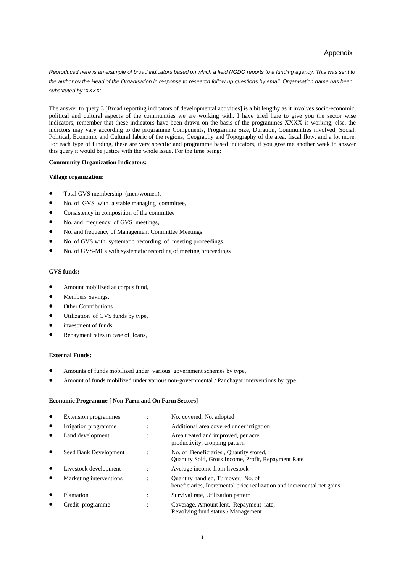*Reproduced here is an example of broad indicators based on which a field NGDO reports to a funding agency. This was sent to the author by the Head of the Organisation in response to research follow up questions by email. Organisation name has been substituted by 'XXXX':* 

The answer to query 3 [Broad reporting indicators of developmental activities] is a bit lengthy as it involves socio-economic, political and cultural aspects of the communities we are working with. I have tried here to give you the sector wise indicators, remember that these indicators have been drawn on the basis of the programmes XXXX is working, else, the indictors may vary according to the programme Components, Programme Size, Duration, Communities involved, Social, Political, Economic and Cultural fabric of the regions, Geography and Topography of the area, fiscal flow, and a lot more. For each type of funding, these are very specific and programme based indicators, if you give me another week to answer this query it would be justice with the whole issue. For the time being:

#### **Community Organization Indicators:**

#### **Village organization:**

- Total GVS membership (men/women),
- No. of GVS with a stable managing committee,
- Consistency in composition of the committee
- No. and frequency of GVS meetings,
- No. and frequency of Management Committee Meetings
- No. of GVS with systematic recording of meeting proceedings
- No. of GVS-MCs with systematic recording of meeting proceedings

### **GVS funds:**

- Amount mobilized as corpus fund,
- Members Savings,
- **Other Contributions**
- Utilization of GVS funds by type,
- investment of funds
- Repayment rates in case of loans,

#### **External Funds:**

- Amounts of funds mobilized under various government schemes by type,
- Amount of funds mobilized under various non-governmental / Panchayat interventions by type.

#### **Economic Programme [ Non-Farm and On Farm Sectors**]

|           | Extension programmes    |   | No. covered, No. adopted                                                                                     |
|-----------|-------------------------|---|--------------------------------------------------------------------------------------------------------------|
| $\bullet$ | Irrigation programme    |   | Additional area covered under irrigation                                                                     |
| ٠         | Land development        | ٠ | Area treated and improved, per acre<br>productivity, cropping pattern                                        |
| $\bullet$ | Seed Bank Development   |   | No. of Beneficiaries, Quantity stored,<br>Quantity Sold, Gross Income, Profit, Repayment Rate                |
|           | Livestock development   |   | Average income from livestock                                                                                |
| $\bullet$ | Marketing interventions |   | Quantity handled, Turnover, No. of<br>beneficiaries, Incremental price realization and incremental net gains |
|           | Plantation              |   | Survival rate, Utilization pattern                                                                           |
|           | Credit programme        |   | Coverage, Amount lent, Repayment rate,<br>Revolving fund status / Management                                 |